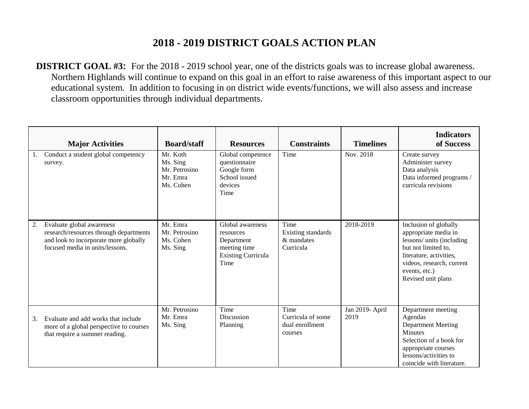## **2018 - 2019 DISTRICT GOALS ACTION PLAN**

**DISTRICT GOAL #3:** For the 2018 - 2019 school year, one of the districts goals was to increase global awareness. Northern Highlands will continue to expand on this goal in an effort to raise awareness of this important aspect to our educational system. In addition to focusing in on district wide events/functions, we will also assess and increase classroom opportunities through individual departments.

|    | <b>Major Activities</b>                                                                                                                         | <b>Board/staff</b>                                             | <b>Resources</b>                                                                                 | <b>Constraints</b>                                      | <b>Timelines</b>        | <b>Indicators</b><br>of Success                                                                                                                                                                  |
|----|-------------------------------------------------------------------------------------------------------------------------------------------------|----------------------------------------------------------------|--------------------------------------------------------------------------------------------------|---------------------------------------------------------|-------------------------|--------------------------------------------------------------------------------------------------------------------------------------------------------------------------------------------------|
|    | Conduct a student global competency<br>survey.                                                                                                  | Mr. Koth<br>Ms. Sing<br>Mr. Petrosino<br>Mr. Emra<br>Ms. Cohen | Global competence<br>questionnaire<br>Google form<br>School issued<br>devices<br>Time            | Time                                                    | Nov. 2018               | Create survey<br>Administer survey<br>Data analysis<br>Data informed programs /<br>curricula revisions                                                                                           |
| 2. | Evaluate global awareness<br>research/resources through departments<br>and look to incorporate more globally<br>focused media in units/lessons. | Mr. Emra<br>Mr. Petrosino<br>Ms. Cohen<br>Ms. Sing             | Global awareness<br>resources<br>Department<br>meeting time<br><b>Existing Curricula</b><br>Time | Time<br>Existing standards<br>& mandates<br>Curricula   | 2018-2019               | Inclusion of globally<br>appropriate media in<br>lessons/ units (including<br>but not limited to,<br>literature, activities,<br>videos, research, current<br>events, etc.)<br>Revised unit plans |
| 3. | Evaluate and add works that include<br>more of a global perspective to courses<br>that require a summer reading.                                | Mr. Petrosino<br>Mr. Emra<br>Ms. Sing                          | Time<br>Discussion<br>Planning                                                                   | Time<br>Curricula of some<br>dual enrollment<br>courses | Jan 2019- April<br>2019 | Department meeting<br>Agendas<br>Department Meeting<br><b>Minutes</b><br>Selection of a book for<br>appropriate courses<br>lessons/activities to<br>coincide with literature.                    |